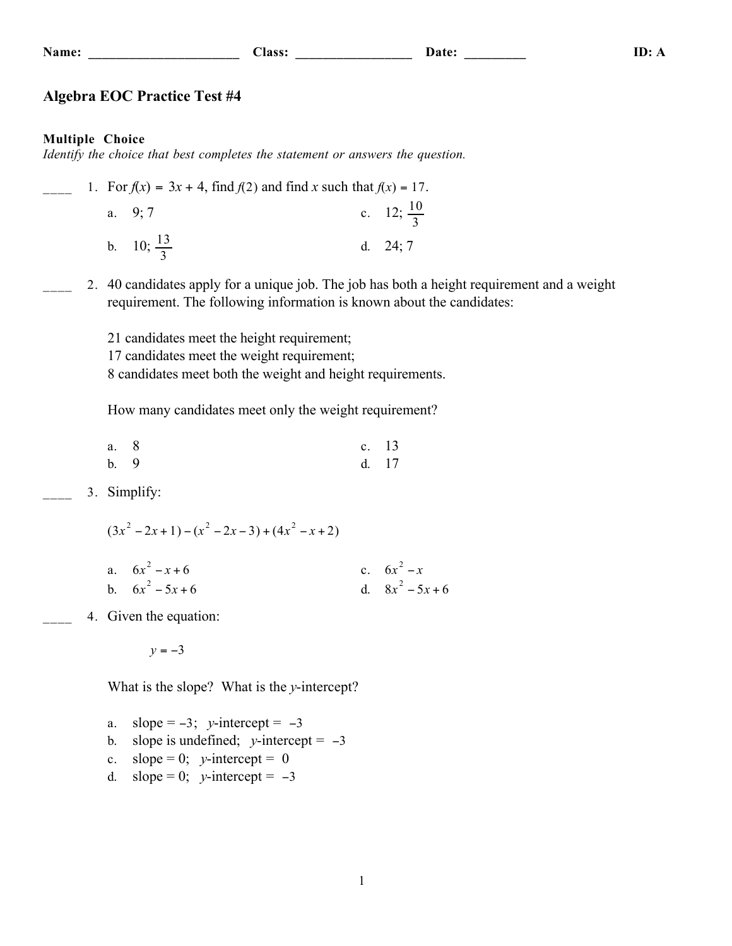**Name: \_\_\_\_\_\_\_\_\_\_\_\_\_\_\_\_\_\_\_\_\_\_ Class: \_\_\_\_\_\_\_\_\_\_\_\_\_\_\_\_\_ Date: \_\_\_\_\_\_\_\_\_ ID: A**

### **Algebra EOC Practice Test #4**

#### **Multiple Choice**

*Identify the choice that best completes the statement or answers the question.*

|  | 1. For $f(x) = 3x + 4$ , find $f(2)$ and find x such that $f(x) = 17$ . |                       |
|--|-------------------------------------------------------------------------|-----------------------|
|  | a. $9:7$                                                                | c. 12; $\frac{10}{3}$ |
|  | b. 10; $\frac{13}{3}$                                                   | d. $24:7$             |

2. 40 candidates apply for a unique job. The job has both a height requirement and a weight requirement. The following information is known about the candidates:

> 21 candidates meet the height requirement; 17 candidates meet the weight requirement; 8 candidates meet both the weight and height requirements.

How many candidates meet only the weight requirement?

| a. 8 | c. $13$ |  |
|------|---------|--|
| b. 9 | d. 17   |  |

3. Simplify:

 $(3x^2 - 2x + 1) - (x^2 - 2x - 3) + (4x^2 - x + 2)$ 

| a. $6x^2 - x + 6$  | c. $6x^2 - x$      |
|--------------------|--------------------|
| b. $6x^2 - 5x + 6$ | d. $8x^2 - 5x + 6$ |

4. Given the equation:

 $y = -3$ 

What is the slope? What is the *y*-intercept?

- a. slope =  $-3$ ; *y*-intercept =  $-3$
- b. slope is undefined;  $y$ -intercept =  $-3$
- c. slope = 0;  $v$ -intercept = 0
- d. slope = 0;  $v$ -intercept =  $-3$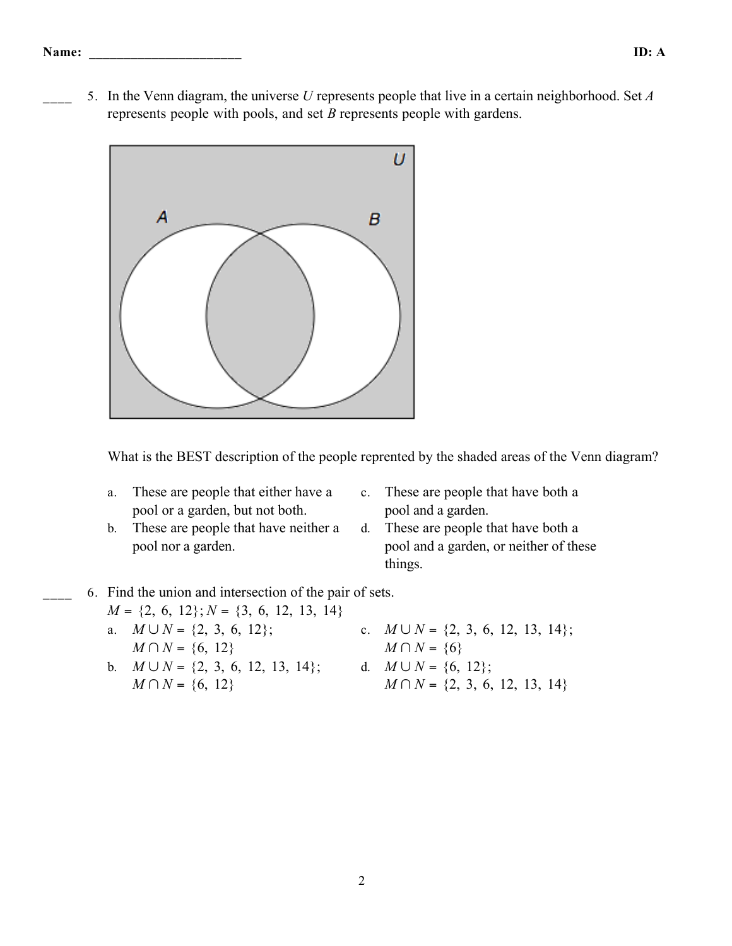\_\_\_\_ 5. In the Venn diagram, the universe *U* represents people that live in a certain neighborhood. Set *A* represents people with pools, and set *B* represents people with gardens.



What is the BEST description of the people reprented by the shaded areas of the Venn diagram?

- a. These are people that either have a pool or a garden, but not both.
	- c. These are people that have both a pool and a garden.
- b. These are people that have neither a pool nor a garden.
- d. These are people that have both a pool and a garden, or neither of these things.
- \_\_\_\_ 6. Find the union and intersection of the pair of sets.
	- *M* = {2, 6, 12}; *N* = {3, 6, 12, 13, 14} a. *M* ∪ *N* = {2, 3, 6, 12}; *M* ∩ *N* = {6, 12} c.  $M \cup N = \{2, 3, 6, 12, 13, 14\};$ *M* ∩ *N* = {6} b. *M* ∪ *N* = {2, 3, 6, 12, 13, 14}; *M* ∩ *N* = {6, 12} d.  $M \cup N = \{6, 12\}$ ; *M* ∩ *N* = {2, 3, 6, 12, 13, 14}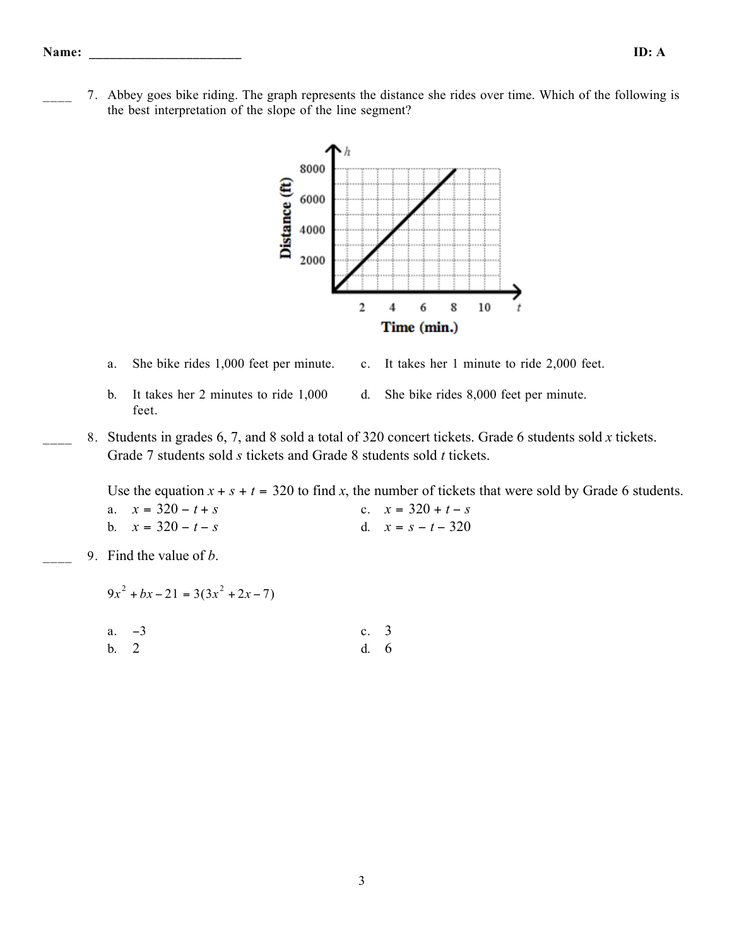\_\_\_\_ 7. Abbey goes bike riding. The graph represents the distance she rides over time. Which of the following is the best interpretation of the slope of the line segment?



- 
- a. She bike rides 1,000 feet per minute. c. It takes her 1 minute to ride 2,000 feet.
- b. It takes her 2 minutes to ride 1,000 feet.
- d. She bike rides 8,000 feet per minute.
- \_\_\_\_ 8. Students in grades 6, 7, and 8 sold a total of 320 concert tickets. Grade 6 students sold *x* tickets. Grade 7 students sold *s* tickets and Grade 8 students sold *t* tickets.

Use the equation  $x + s + t = 320$  to find x, the number of tickets that were sold by Grade 6 students.

| a. $x = 320 - t + s$ | c. $x = 320 + t - s$ |
|----------------------|----------------------|
| b. $x = 320 - t - s$ | d. $x = s - t - 320$ |

\_\_\_\_ 9. Find the value of *b*.

 $9x^{2} + bx - 21 = 3(3x^{2} + 2x - 7)$ 

a.  $-3$  c. 3 b. 2 d. 6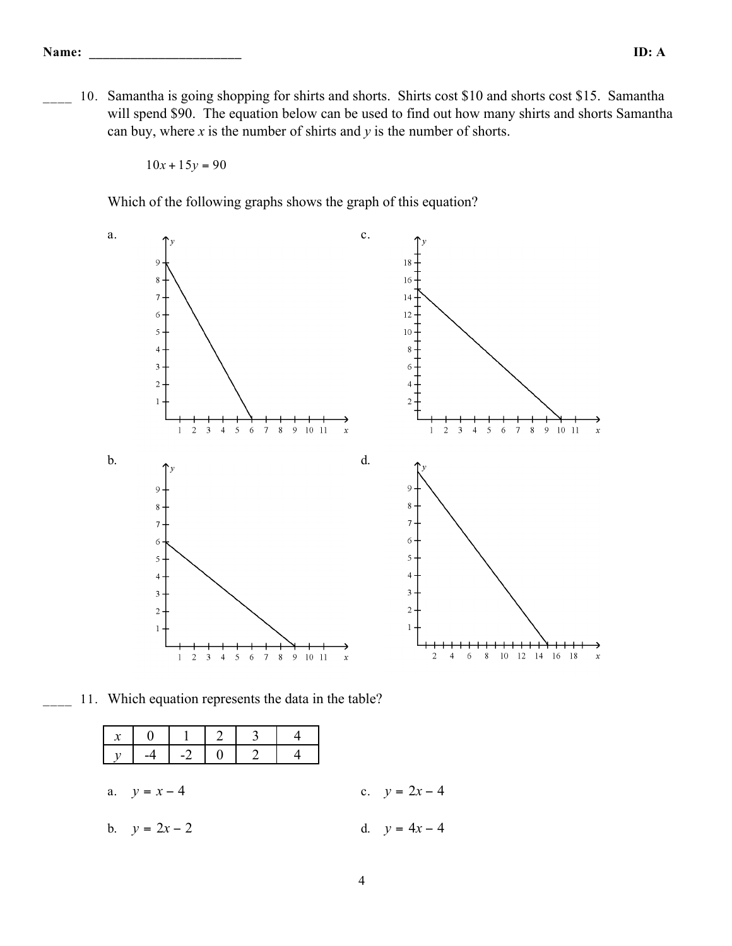10. Samantha is going shopping for shirts and shorts. Shirts cost \$10 and shorts cost \$15. Samantha will spend \$90. The equation below can be used to find out how many shirts and shorts Samantha can buy, where *x* is the number of shirts and *y* is the number of shorts.

 $10x + 15y = 90$ 

Which of the following graphs shows the graph of this equation?



11. Which equation represents the data in the table?

|                 |  | $\begin{array}{ c c c c c c c c }\hline x&0&1&2&3&4 \ \hline y&-4&-2&0&2&4 \ \hline \end{array}$ |  |                 |
|-----------------|--|--------------------------------------------------------------------------------------------------|--|-----------------|
| a. $y = x - 4$  |  |                                                                                                  |  | c. $y = 2x - 4$ |
| b. $y = 2x - 2$ |  |                                                                                                  |  | d. $y = 4x - 4$ |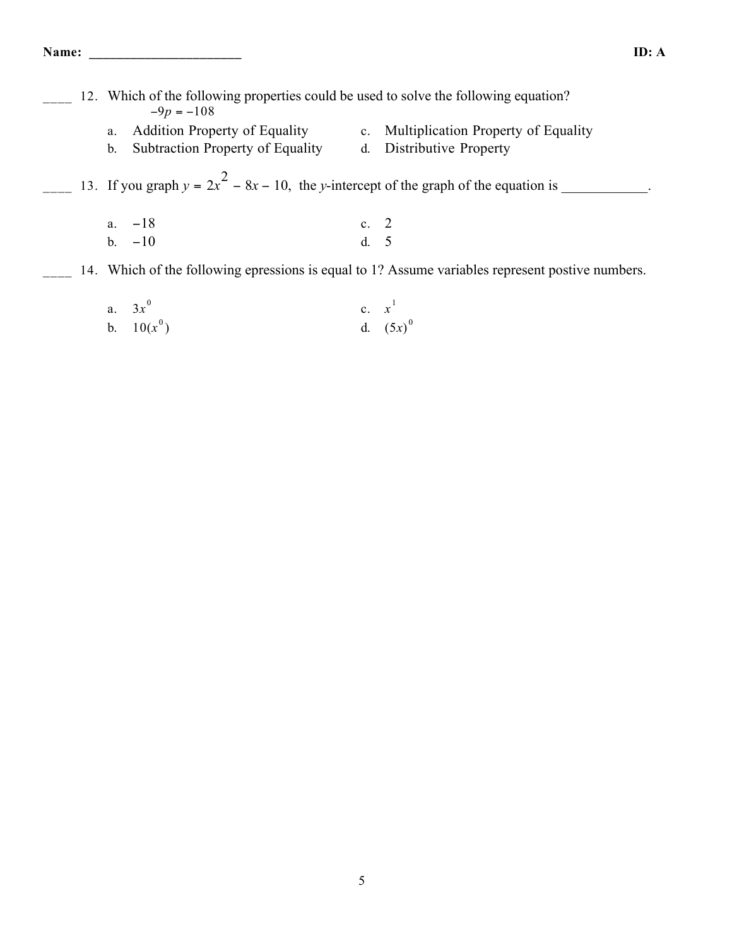|  |    | 12. Which of the following properties could be used to solve the following equation?<br>$-9p = -108$ |             |                                     |
|--|----|------------------------------------------------------------------------------------------------------|-------------|-------------------------------------|
|  | a. | <b>Addition Property of Equality</b>                                                                 | $c_{\cdot}$ | Multiplication Property of Equality |
|  |    | b. Subtraction Property of Equality                                                                  | $d_{\cdot}$ | Distributive Property               |
|  |    | 13. If you graph $y = 2x^2 - 8x - 10$ , the y-intercept of the graph of the equation is              |             |                                     |
|  |    | a. $-18$                                                                                             | c. $2$      |                                     |
|  | h. | $-10$                                                                                                |             |                                     |

- <sup>14</sup>. Which of the following epressions is equal to 1? Assume variables represent postive numbers.
	- a.  $3x^0$ c.  $x^1$ b.  $10(x^0)$ ) d.  $(5x)^0$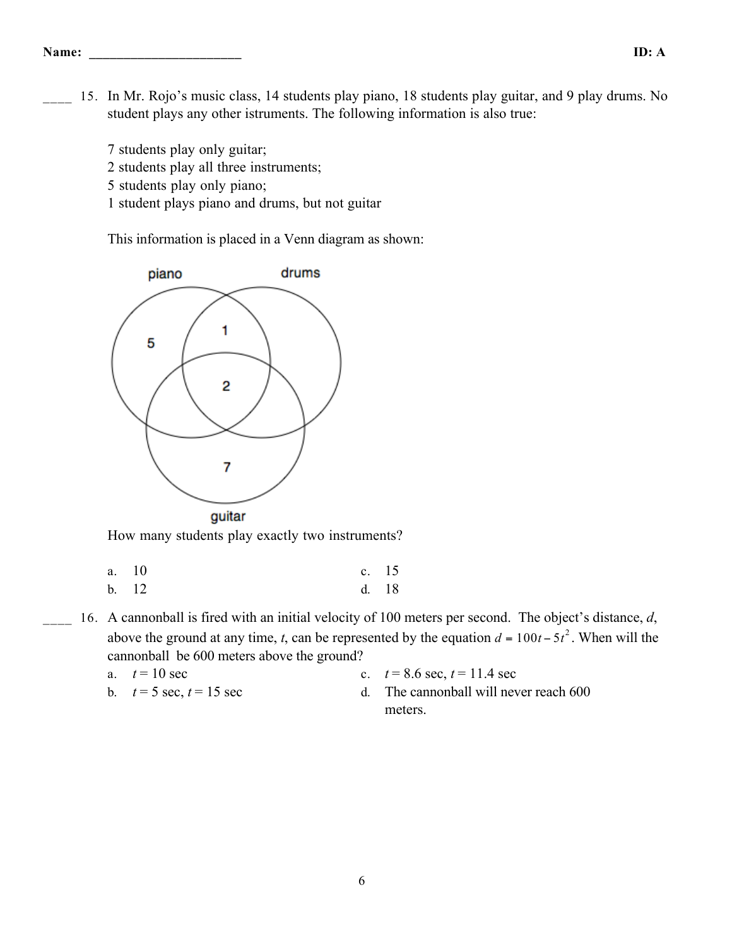\_\_\_\_ 15. In Mr. Rojo's music class, 14 students play piano, 18 students play guitar, and 9 play drums. No student plays any other istruments. The following information is also true:

7 students play only guitar;

2 students play all three instruments;

- 5 students play only piano;
- 1 student plays piano and drums, but not guitar

This information is placed in a Venn diagram as shown:



How many students play exactly two instruments?

- a. 10 c. 15 b. 12 d. 18
- 16. A cannonball is fired with an initial velocity of 100 meters per second. The object's distance, *d*, above the ground at any time, *t*, can be represented by the equation  $d = 100t - 5t^2$ . When will the cannonball be 600 meters above the ground?

a. 
$$
t=10 \text{ sec}
$$

- c.  $t = 8.6$  sec,  $t = 11.4$  sec
- 
- b.  $t = 5 \text{ sec}, t = 15 \text{ sec}$  d. The cannonball will never reach 600 meters.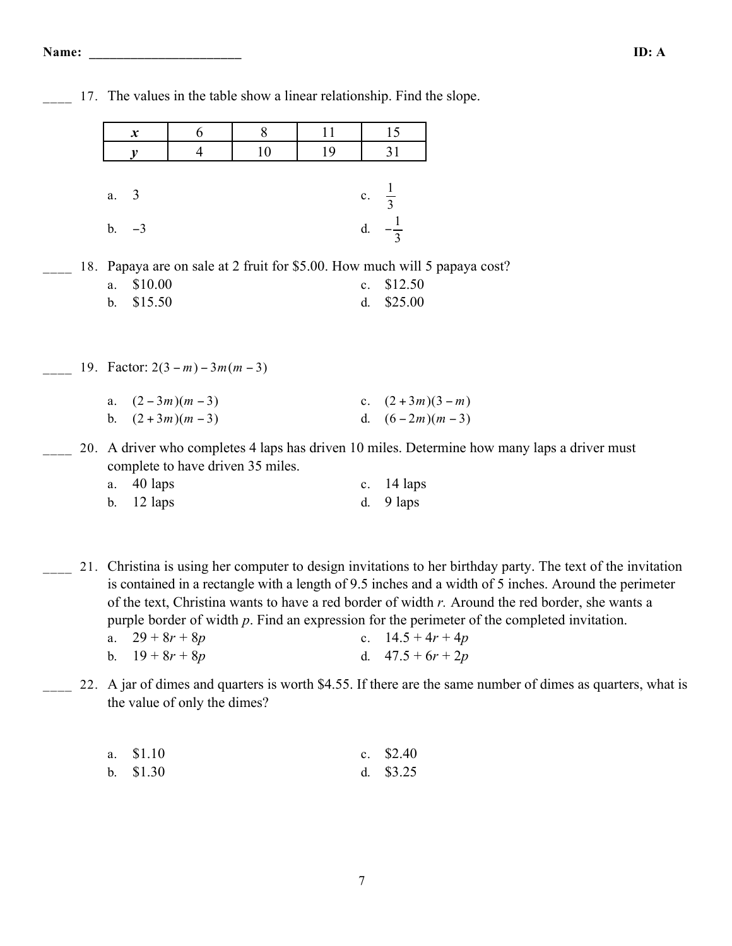|     |                        |         |                                  | $r$ and $\omega$ in the those show a finem retain on $\omega$ . This the stope. |    |         |                                            |                                                                                                                                                                                                           |
|-----|------------------------|---------|----------------------------------|---------------------------------------------------------------------------------|----|---------|--------------------------------------------|-----------------------------------------------------------------------------------------------------------------------------------------------------------------------------------------------------------|
|     | $\boldsymbol{x}$       |         | 6                                | 8                                                                               | 11 |         | 15                                         |                                                                                                                                                                                                           |
|     | $\boldsymbol{v}$       |         | $\overline{4}$                   | 10                                                                              | 19 |         | 31                                         |                                                                                                                                                                                                           |
|     | $\overline{3}$<br>a.   |         |                                  |                                                                                 |    |         | c. $\frac{1}{3}$                           |                                                                                                                                                                                                           |
|     | $-3$<br>$\mathbf{b}$ . |         |                                  |                                                                                 |    |         | d. $-\frac{1}{3}$                          |                                                                                                                                                                                                           |
|     |                        |         |                                  |                                                                                 |    |         |                                            | 18. Papaya are on sale at 2 fruit for \$5.00. How much will 5 papaya cost?                                                                                                                                |
|     | a.                     | \$10.00 |                                  |                                                                                 |    | $c_{-}$ | \$12.50                                    |                                                                                                                                                                                                           |
|     | $b$ .                  | \$15.50 |                                  |                                                                                 |    | d.      | \$25.00                                    |                                                                                                                                                                                                           |
|     |                        |         |                                  |                                                                                 |    |         |                                            |                                                                                                                                                                                                           |
|     |                        |         | 19. Factor: $2(3-m)$ – 3m(m – 3) |                                                                                 |    |         |                                            |                                                                                                                                                                                                           |
|     | a.                     |         | $(2-3m)(m-3)$                    |                                                                                 |    |         | c. $(2+3m)(3-m)$                           |                                                                                                                                                                                                           |
|     | $\mathbf{b}$ .         |         | $(2+3m)(m-3)$                    |                                                                                 |    |         | d. $(6-2m)(m-3)$                           |                                                                                                                                                                                                           |
|     |                        |         |                                  | complete to have driven 35 miles.                                               |    |         |                                            | 20. A driver who completes 4 laps has driven 10 miles. Determine how many laps a driver must                                                                                                              |
|     | a.                     | 40 laps |                                  |                                                                                 |    |         | c. $14 \text{ laps}$                       |                                                                                                                                                                                                           |
|     | $\mathbf b$ .          | 12 laps |                                  |                                                                                 |    | d.      | 9 laps                                     |                                                                                                                                                                                                           |
|     |                        |         |                                  |                                                                                 |    |         |                                            |                                                                                                                                                                                                           |
| 21. |                        |         |                                  |                                                                                 |    |         |                                            | Christina is using her computer to design invitations to her birthday party. The text of the invitation                                                                                                   |
|     |                        |         |                                  |                                                                                 |    |         |                                            | is contained in a rectangle with a length of 9.5 inches and a width of 5 inches. Around the perimeter<br>of the text, Christina wants to have a red border of width r. Around the red border, she wants a |
|     |                        |         |                                  |                                                                                 |    |         |                                            | purple border of width $p$ . Find an expression for the perimeter of the completed invitation.                                                                                                            |
|     | a.<br>$\mathbf{b}$ .   |         | $29 + 8r + 8p$<br>$19 + 8r + 8p$ |                                                                                 |    |         | c. $14.5 + 4r + 4p$<br>d. $47.5 + 6r + 2p$ |                                                                                                                                                                                                           |
|     |                        |         |                                  |                                                                                 |    |         |                                            |                                                                                                                                                                                                           |
|     |                        |         |                                  |                                                                                 |    |         |                                            | 22. A jar of dimes and quarters is worth \$4.55. If there are the same number of dimes as quarters, what is                                                                                               |

17. The values in the table show a linear relationship. Find the slope.

s as quarters, what is the value of only the dimes?

| a. \$1.10 | c. $$2.40$ |
|-----------|------------|
| b. \$1.30 | d. $$3.25$ |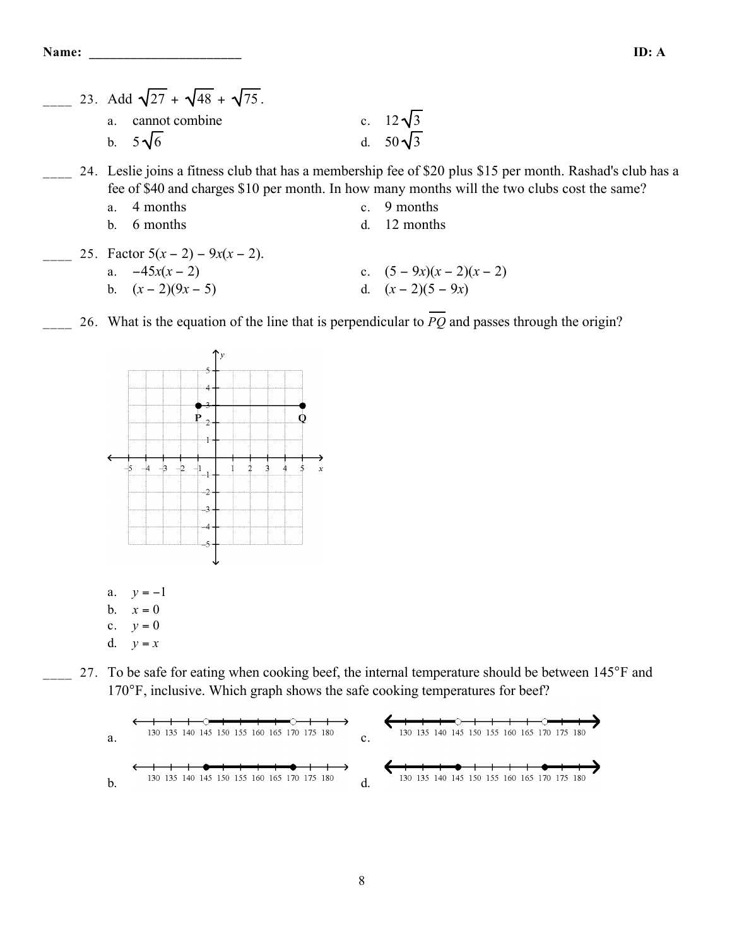23. Add  $\sqrt{27} + \sqrt{48} + \sqrt{75}$ . a. cannot combine a. cannot combine<br>b.  $5\sqrt{6}$  d.  $50\sqrt{3}$ 24. Leslie joins a fitness club that has a membership fee of \$20 plus \$15 per month. Rashad's club has a fee of \$40 and charges \$10 per month. In how many months will the two clubs cost the same? a. 4 months c. 9 months b. 6 months d. 12 months 25. Factor  $5(x-2) - 9x(x-2)$ . a.  $-45x(x-2)$  c.  $(5-9x)(x-2)(x-2)$ b.  $(x-2)(9x-5)$  d.  $(x-2)(5-9x)$ 

26. What is the equation of the line that is perpendicular to  $\overline{PQ}$  and passes through the origin?



27. To be safe for eating when cooking beef, the internal temperature should be between 145°F and 170°F, inclusive. Which graph shows the safe cooking temperatures for beef?

a. c. b. d.

8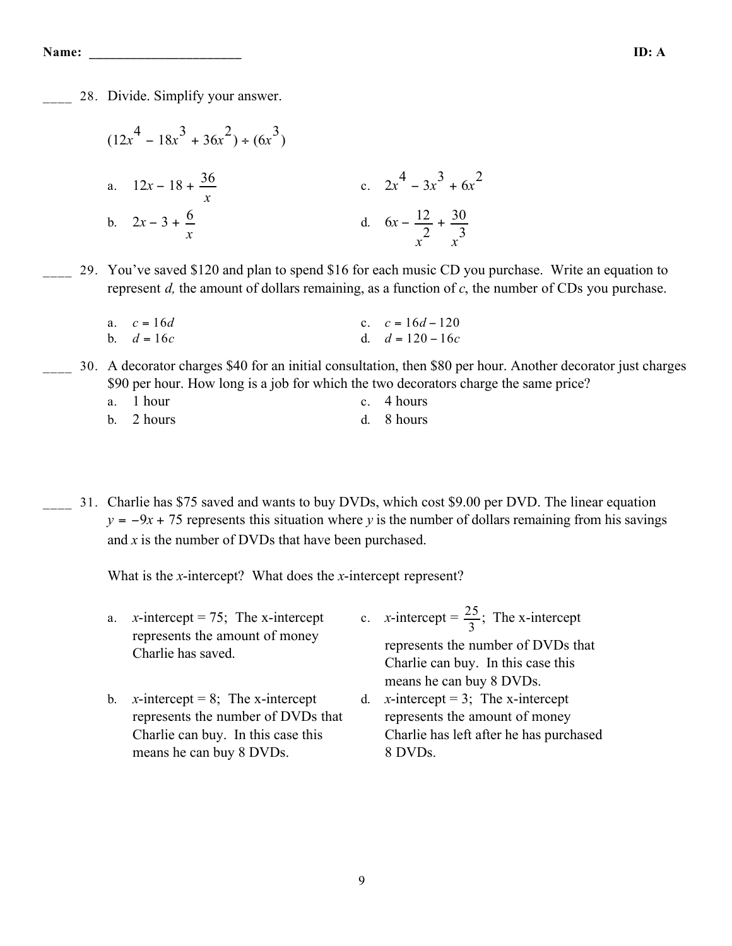**Name: \_\_\_\_\_\_\_\_\_\_\_\_\_\_\_\_\_\_\_\_\_\_ ID: A**

28. Divide. Simplify your answer.

$$
(12x4 - 18x3 + 36x2) \div (6x3)
$$
  
a. 12x - 18 +  $\frac{36}{x}$   
b. 2x - 3 +  $\frac{6}{x}$   
c. 2x<sup>4</sup> - 3x<sup>3</sup> + 6x<sup>2</sup>  
d. 6x -  $\frac{12}{x^2} + \frac{30}{x^3}$ 

\_\_\_\_ 29. You've saved \$120 and plan to spend \$16 for each music CD you purchase. Write an equation to represent *d,* the amount of dollars remaining, as a function of *c*, the number of CDs you purchase.

| a. $c = 16d$ | c. $c = 16d - 120$ |
|--------------|--------------------|
| b. $d = 16c$ | d. $d = 120 - 16c$ |

- \_\_\_\_ 30. A decorator charges \$40 for an initial consultation, then \$80 per hour. Another decorator just charges \$90 per hour. How long is a job for which the two decorators charge the same price?
	- a. 1 hour c. 4 hours

\_\_\_\_ 31. Charlie has \$75 saved and wants to buy DVDs, which cost \$9.00 per DVD. The linear equation  $y = -9x + 75$  represents this situation where *y* is the number of dollars remaining from his savings and *x* is the number of DVDs that have been purchased.

What is the *x*-intercept? What does the *x*-intercept represent?

means he can buy 8 DVDs.

| a. | x-intercept = 75; The x-intercept<br>represents the amount of money |    | c. <i>x</i> -intercept = $\frac{25}{3}$ ; The <i>x</i> -intercept |
|----|---------------------------------------------------------------------|----|-------------------------------------------------------------------|
|    | Charlie has saved.                                                  |    | represents the number of DVDs that                                |
|    |                                                                     |    | Charlie can buy. In this case this                                |
|    |                                                                     |    | means he can buy 8 DVDs.                                          |
| b. | x-intercept = 8; The x-intercept                                    | d. | x-intercept = 3; The x-intercept                                  |
|    | represents the number of DVDs that                                  |    | represents the amount of money                                    |
|    | Charlie can buy. In this case this                                  |    | Charlie has left after he has purchased                           |
|    |                                                                     |    |                                                                   |

8 DVDs.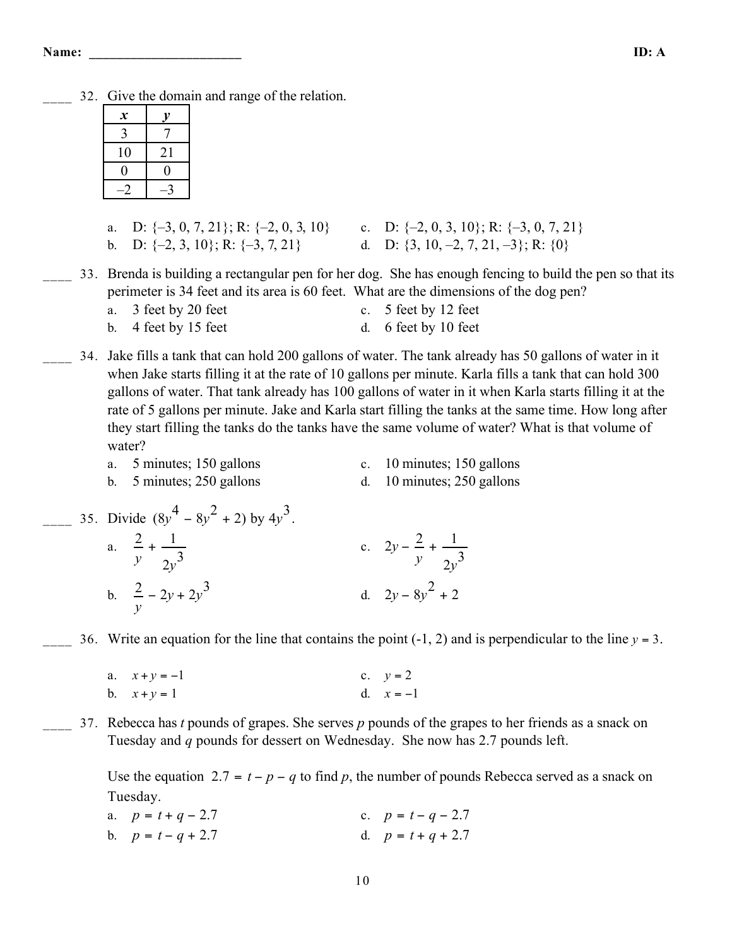\_\_\_\_ 32. Give the domain and range of the relation.

| $\boldsymbol{\mathcal{X}}$ | v  |
|----------------------------|----|
|                            |    |
| 10                         | 21 |
| 0                          | 0  |
|                            |    |

- a. D:  $\{-3, 0, 7, 21\}$ ; R:  $\{-2, 0, 3, 10\}$  c. D:  $\{-2, 0, 3, 10\}$ ; R:  $\{-3, 0, 7, 21\}$ b. D:  $\{-2, 3, 10\}$ ; R:  $\{-3, 7, 21\}$  d. D:  $\{3, 10, -2, 7, 21, -3\}$ ; R:  $\{0\}$
- \_\_\_\_ 33. Brenda is building a rectangular pen for her dog. She has enough fencing to build the pen so that its perimeter is 34 feet and its area is 60 feet. What are the dimensions of the dog pen?  $2 \text{ fast by } 20 \text{ fast}$

| a. 5 reet by 20 reet   | c. $\sigma$ reet by 12 reet |
|------------------------|-----------------------------|
| b. $4$ feet by 15 feet | d. 6 feet by 10 feet        |

- \_\_\_\_ 34. Jake fills a tank that can hold 200 gallons of water. The tank already has 50 gallons of water in it when Jake starts filling it at the rate of 10 gallons per minute. Karla fills a tank that can hold 300 gallons of water. That tank already has 100 gallons of water in it when Karla starts filling it at the rate of 5 gallons per minute. Jake and Karla start filling the tanks at the same time. How long after they start filling the tanks do the tanks have the same volume of water? What is that volume of water?
	- a. 5 minutes; 150 gallons c. 10 minutes; 150 gallons
		-
	- b. 5 minutes; 250 gallons d. 10 minutes; 250 gallons
- 
- $\frac{1}{2}$  35. Divide  $\left(8y^4 8y^2 + 2\right)$  by  $4y^3$ . a. 2 *y*  $+1$  $2y^3$ c.  $2y - \frac{2}{x}$ *y*  $+ \frac{1}{1}$ 2*y* 3 b.  $\frac{2}{y} - 2y + 2y$ 3 d.  $2y - 8y^2 + 2$

36. Write an equation for the line that contains the point  $(-1, 2)$  and is perpendicular to the line  $y = 3$ .

- a.  $x + y = -1$  c.  $y = 2$ b.  $x + y = 1$  d.  $x = -1$
- \_\_\_\_ 37. Rebecca has *t* pounds of grapes. She serves *p* pounds of the grapes to her friends as a snack on Tuesday and *q* pounds for dessert on Wednesday. She now has 2.7 pounds left.

Use the equation 2.7 =  $t - p - q$  to find p, the number of pounds Rebecca served as a snack on Tuesday.

| a. $p = t + q - 2.7$ | c. $p = t - q - 2.7$ |
|----------------------|----------------------|
| b. $p = t - q + 2.7$ | d. $p = t + q + 2.7$ |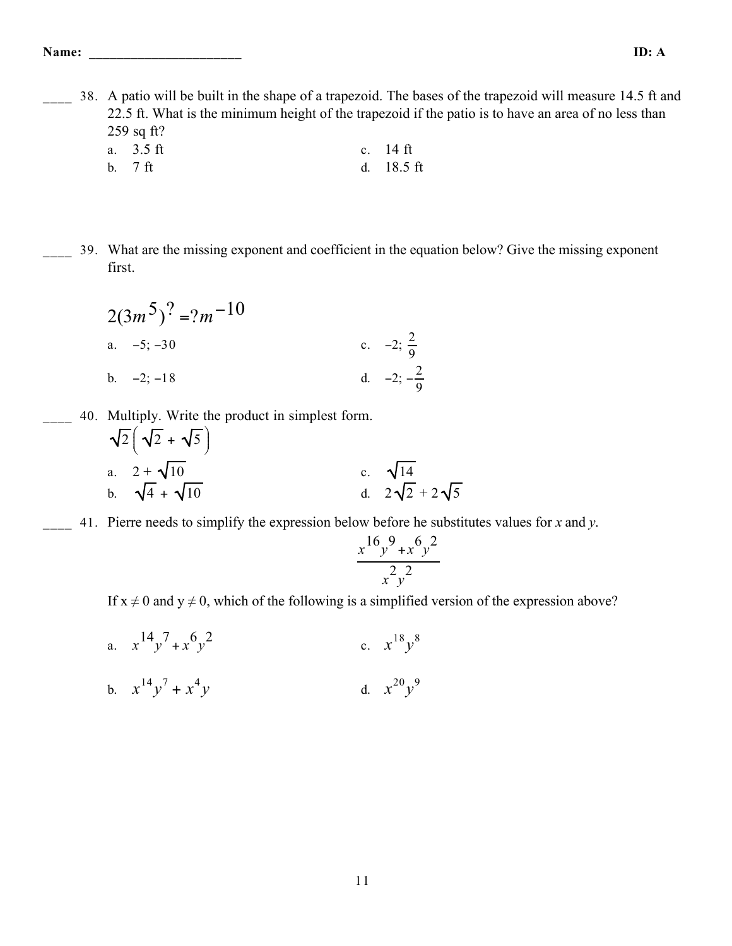\_\_\_\_ 38. A patio will be built in the shape of a trapezoid. The bases of the trapezoid will measure 14.5 ft and 22.5 ft. What is the minimum height of the trapezoid if the patio is to have an area of no less than 259 sq ft?

- a. 3.5 ft c. 14 ft b. 7 ft d. 18.5 ft
- \_\_\_\_ 39. What are the missing exponent and coefficient in the equation below? Give the missing exponent first.

$$
2(3m5)2 = ?m-10
$$
  
a. -5; -30  
b. -2; -18  
c. -2;  $\frac{2}{9}$   
d. -2;  $-\frac{2}{9}$ 

- \_\_\_\_ 40. Multiply. Write the product in simplest form.
	- $\sqrt{2}$  +  $\sqrt{5}$  $\left(\sqrt{2}+\sqrt{5}\right)$  $\left.\rule{0pt}{12pt}\right)$ a.  $2 + \sqrt{10}$ <br>b.  $\sqrt{4} + \sqrt{10}$ c.  $\sqrt{14}$ <br>d.  $2\sqrt{2} + 2\sqrt{5}$
- \_\_\_\_ 41. Pierre needs to simplify the expression below before he substitutes values for *x* and *y*.

$$
\frac{x^{16}y^{9}+x^{6}y^{2}}{x^{2}y^{2}}
$$

If  $x \neq 0$  and  $y \neq 0$ , which of the following is a simplified version of the expression above?

a.  $x^{14}y^7 + x^6y^2$ c.  $x^{18}y^8$ b.  $x^{14}y^7 + x^4$ *y* d.  $x^{20}y^9$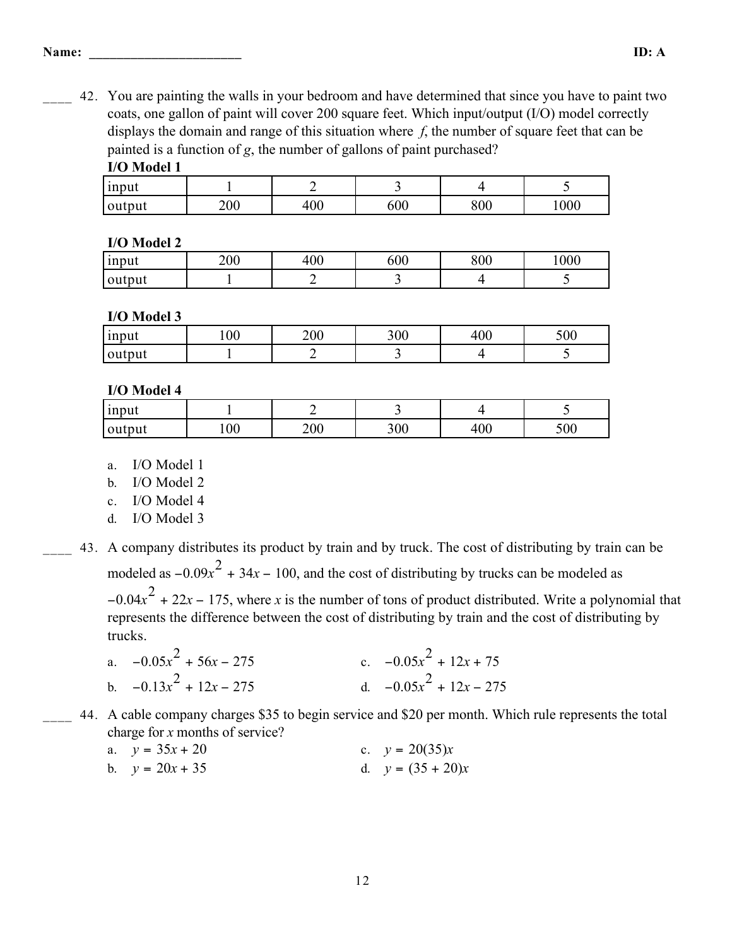\_\_\_\_ 42. You are painting the walls in your bedroom and have determined that since you have to paint two coats, one gallon of paint will cover 200 square feet. Which input/output (I/O) model correctly displays the domain and range of this situation where *f*, the number of square feet that can be painted is a function of *g*, the number of gallons of paint purchased?

### **I/O Model 1**

| $\sim$ $\sim$ $\sim$ $\sim$ $\sim$ $\sim$ |     |                 |                 |         |     |  |  |  |
|-------------------------------------------|-----|-----------------|-----------------|---------|-----|--|--|--|
| input                                     |     |                 |                 |         |     |  |  |  |
| output                                    | 200 | $\Omega$<br>tVV | 00 <sub>c</sub> | $800\,$ | 000 |  |  |  |

### **I/O Model 2**

| <sub>1</sub> nput | 200 | $\Omega$<br>tvu | 600 | 800 | 1000 |
|-------------------|-----|-----------------|-----|-----|------|
| output            |     |                 | - - |     |      |

### **I/O Model 3**

| <sub>1</sub> nput | 100 | 200 | 300 | $\Omega$<br>ப<br>ŀUU | 500 |
|-------------------|-----|-----|-----|----------------------|-----|
| output            |     |     |     |                      |     |

## **I/O Model 4**

| <i>s</i> input |    |     |     |     |     |
|----------------|----|-----|-----|-----|-----|
| output         | 00 | 200 | 300 | 400 | 500 |

- a. I/O Model 1
- b. I/O Model 2
- c. I/O Model 4
- d. I/O Model 3

\_\_\_\_ 43. A company distributes its product by train and by truck. The cost of distributing by train can be modeled as  $-0.09x^2 + 34x - 100$ , and the cost of distributing by trucks can be modeled as

 $-0.04x<sup>2</sup> + 22x - 175$ , where *x* is the number of tons of product distributed. Write a polynomial that represents the difference between the cost of distributing by train and the cost of distributing by trucks.

- a.  $-0.05x^2 + 56x 275$  c.  $-0.05x^2 + 12x + 75$ b.  $-0.13x^2$ +  $12x - 275$  d.  $-0.05x^2 + 12x - 275$
- \_\_\_\_ 44. A cable company charges \$35 to begin service and \$20 per month. Which rule represents the total charge for *x* months of service?

| a. $y = 35x + 20$ | c. $y = 20(35)x$    |
|-------------------|---------------------|
| b. $y = 20x + 35$ | d. $y = (35 + 20)x$ |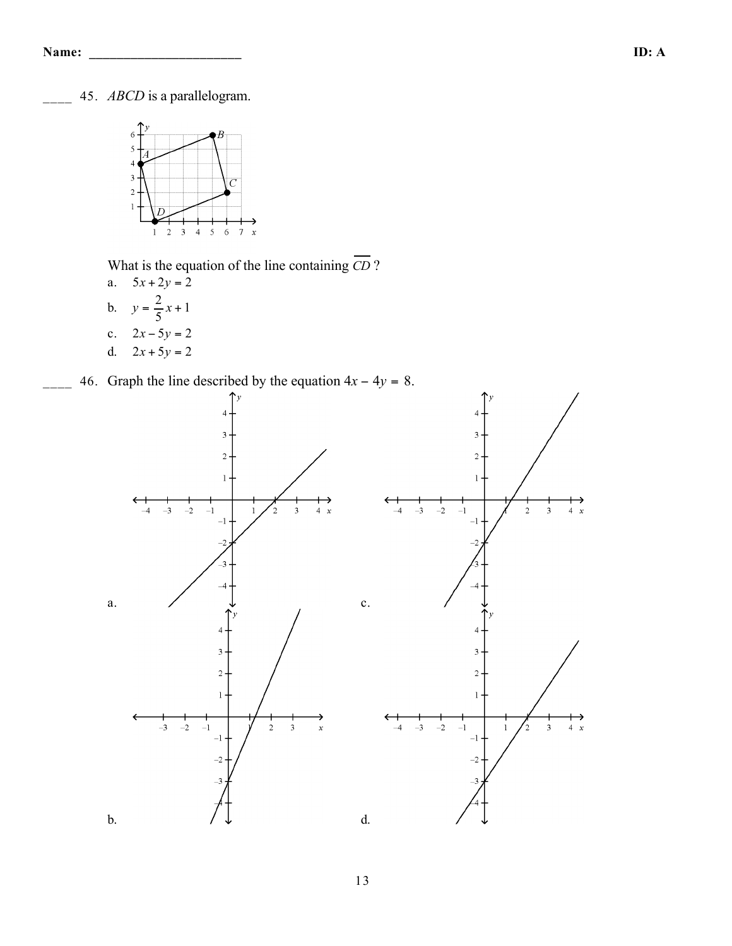\_\_\_\_ 45. *ABCD* is a parallelogram.



What is the equation of the line containing  $\overline{CD}$  ?

- a.  $5x + 2y = 2$ b.  $y = \frac{2}{5}x + 1$ c.  $2x - 5y = 2$ d.  $2x + 5y = 2$
- 46. Graph the line described by the equation  $4x 4y = 8$ .

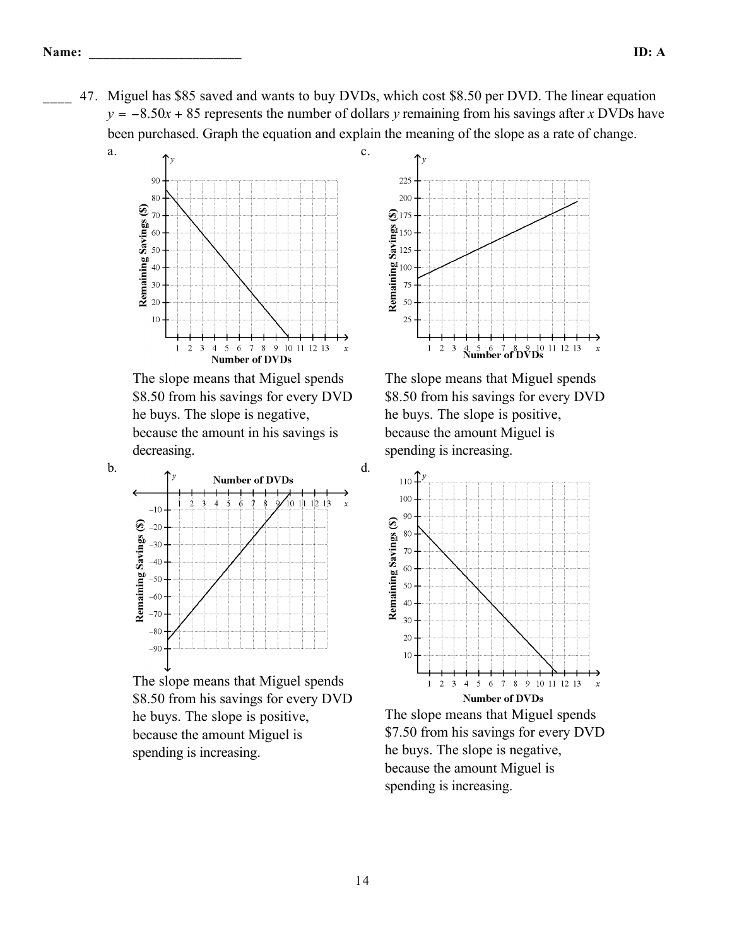\_\_\_\_ 47. Miguel has \$85 saved and wants to buy DVDs, which cost \$8.50 per DVD. The linear equation  $y = -8.50x + 85$  represents the number of dollars *y* remaining from his savings after *x* DVDs have been purchased. Graph the equation and explain the meaning of the slope as a rate of change.

d.



The slope means that Miguel spends \$8.50 from his savings for every DVD he buys. The slope is negative, because the amount in his savings is decreasing.



The slope means that Miguel spends \$8.50 from his savings for every DVD he buys. The slope is positive, because the amount Miguel is spending is increasing.



The slope means that Miguel spends \$7.50 from his savings for every DVD he buys. The slope is negative, because the amount Miguel is spending is increasing.

b.

a.



The slope means that Miguel spends \$8.50 from his savings for every DVD he buys. The slope is positive, because the amount Miguel is spending is increasing.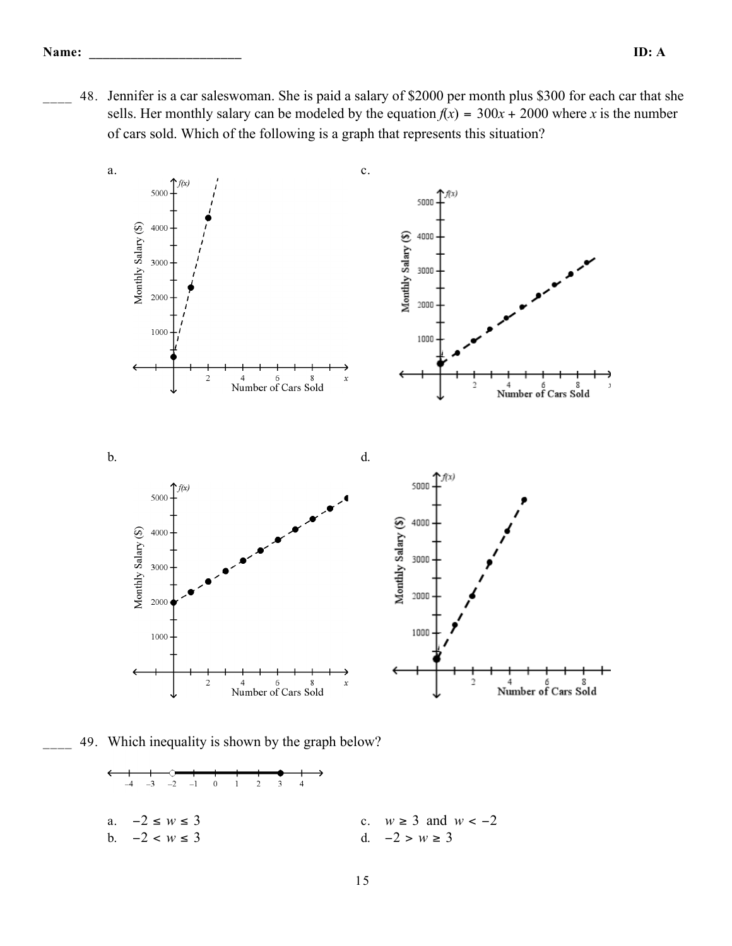48. Jennifer is a car saleswoman. She is paid a salary of \$2000 per month plus \$300 for each car that she sells. Her monthly salary can be modeled by the equation  $f(x) = 300x + 2000$  where *x* is the number of cars sold. Which of the following is a graph that represents this situation?



49. Which inequality is shown by the graph below?

a. 
$$
-2 \le w \le 3
$$
  
\nb.  $-2 < w \le 3$   
\nc.  $w \ge 3$  and  $w < -2$   
\nd.  $-2 > w \ge 3$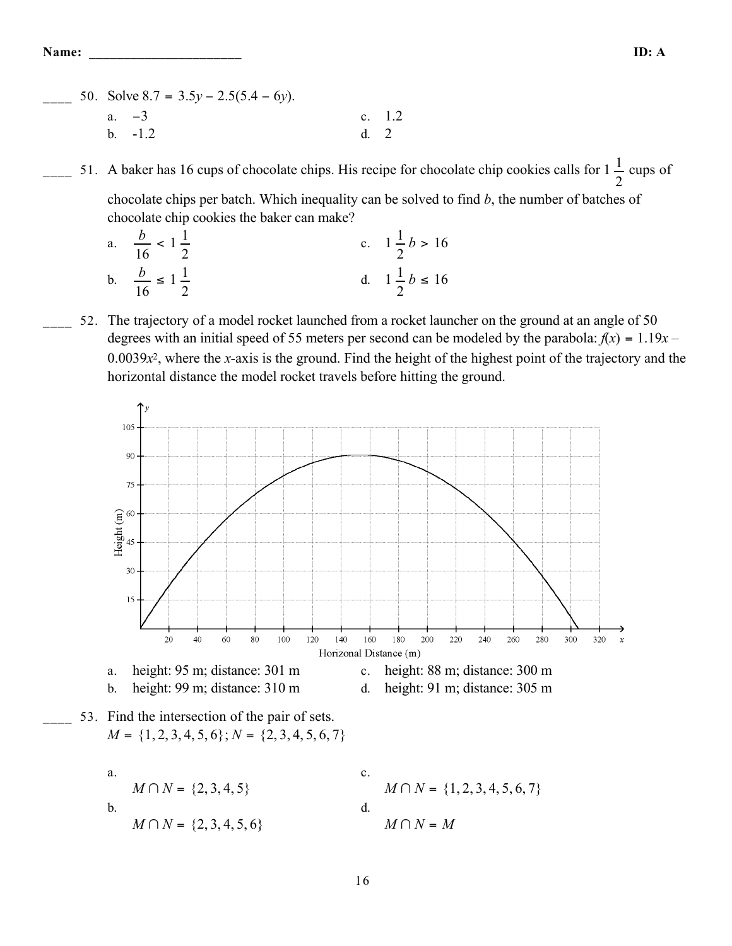\_\_\_\_ 50. Solve 8.7 = 3.5*y* − 2.5(5.4 − 6*y*). a.  $-3$  c. 1.2 b.  $-1.2$  d. 2

 $\frac{1}{2}$  51. A baker has 16 cups of chocolate chips. His recipe for chocolate chip cookies calls for  $1\frac{1}{2}$  cups of

chocolate chips per batch. Which inequality can be solved to find *b*, the number of batches of chocolate chip cookies the baker can make?

a. *b* 16  $< 1\frac{1}{2}$ 2 c.  $1\frac{1}{2}$ 2  $b > 16$ b.  $\frac{b}{b}$ 16  $\leq 1\frac{1}{2}$ 2 d.  $1\frac{1}{2}$ 2  $b \leq 16$ 

52. The trajectory of a model rocket launched from a rocket launcher on the ground at an angle of 50 degrees with an initial speed of 55 meters per second can be modeled by the parabola:  $f(x) = 1.19x 0.0039x<sup>2</sup>$ , where the *x*-axis is the ground. Find the height of the highest point of the trajectory and the horizontal distance the model rocket travels before hitting the ground.

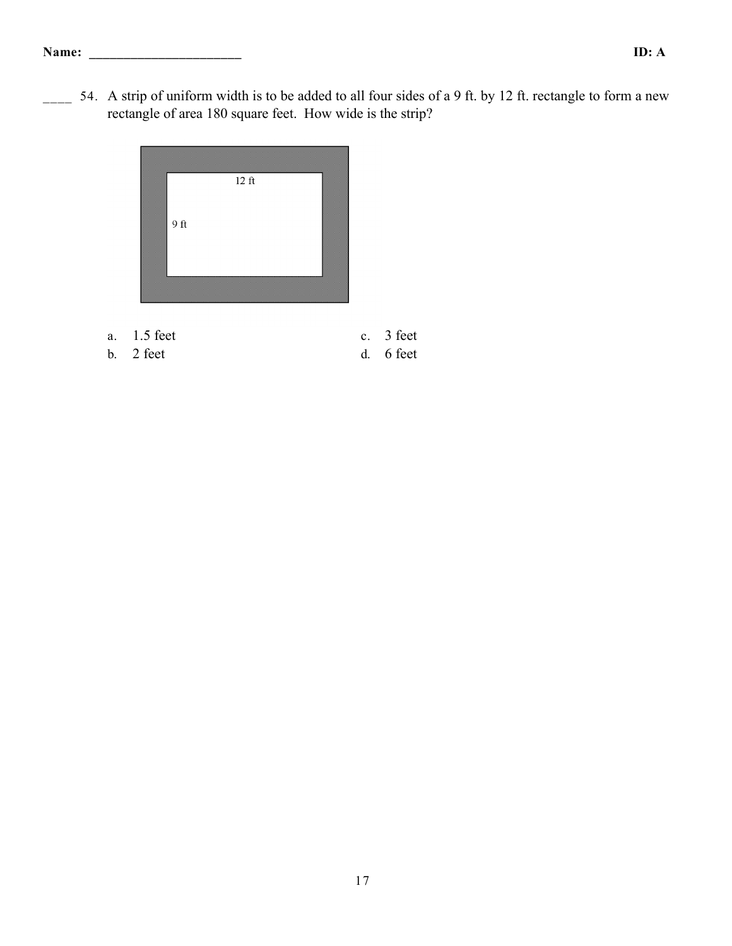$\sim$  54. A strip of uniform width is to be added to all four sides of a 9 ft. by 12 ft. rectangle to form a new rectangle of area 180 square feet. How wide is the strip?



- a. 1.5 feet c. 3 feet
- b. 2 feet d. 6 feet
-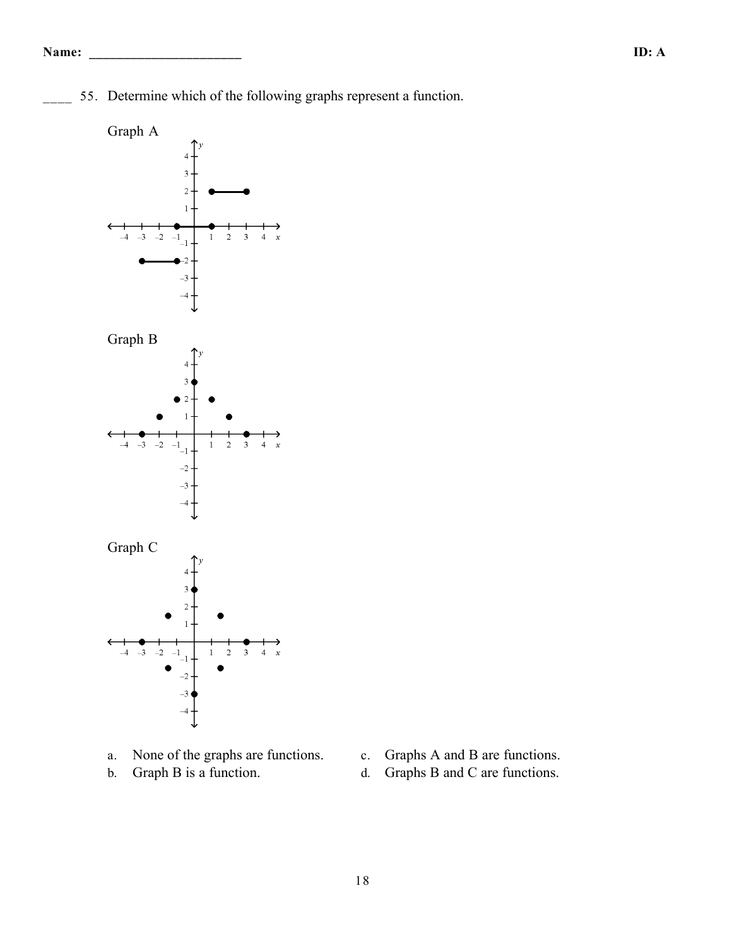55. Determine which of the following graphs represent a function.



- a. None of the graphs are functions. c. Graphs A and B are functions.
- 
- 
- b. Graph B is a function. d. Graphs B and C are functions.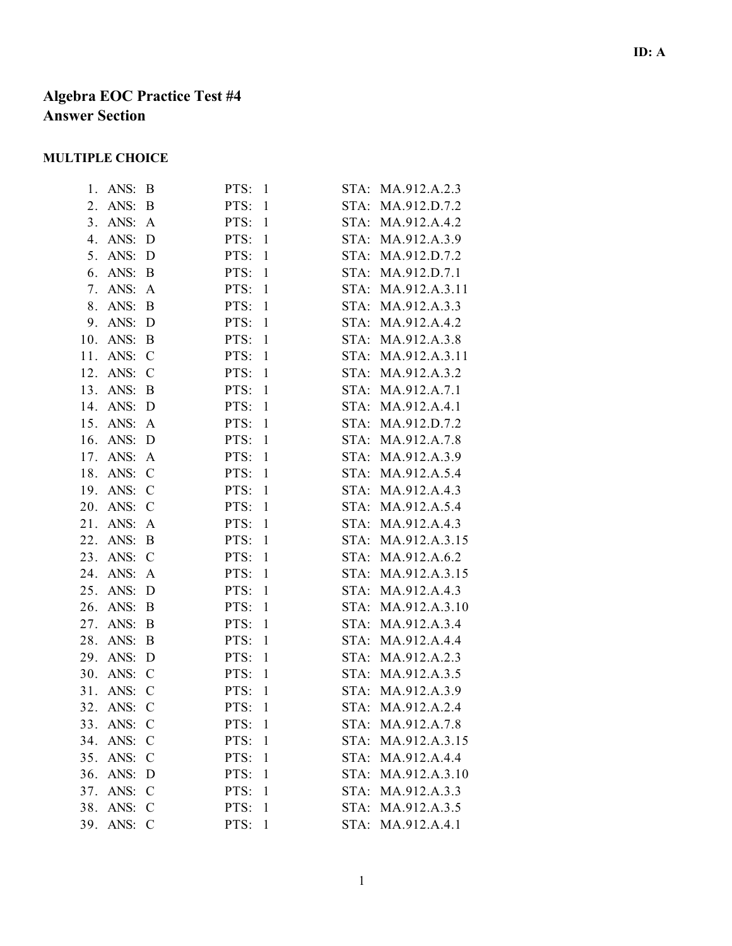# **Algebra EOC Practice Test #4 Answer Section**

# **MULTIPLE CHOICE**

| ANS:        | B             | PTS:<br>$\mathbf{1}$ | STA: | MA.912.A.2.3       |
|-------------|---------------|----------------------|------|--------------------|
| ANS:<br>2.  | B             | PTS:<br>$\mathbf{1}$ | STA: | MA.912.D.7.2       |
| 3.<br>ANS:  | A             | PTS:<br>$\mathbf{1}$ |      | STA: MA.912.A.4.2  |
| 4.<br>ANS:  | D             | $\mathbf{1}$<br>PTS: |      | STA: MA.912.A.3.9  |
| 5.<br>ANS:  | D             | PTS:<br>$\mathbf{1}$ | STA: | MA.912.D.7.2       |
| 6.<br>ANS:  | B             | PTS:<br>$\mathbf{1}$ | STA: | MA.912.D.7.1       |
| ANS:        | $\mathbf{A}$  | $\mathbf{1}$<br>PTS: | STA: | MA.912.A.3.11      |
| 8.<br>ANS:  | B             | PTS:<br>$\mathbf{1}$ | STA: | MA.912.A.3.3       |
| 9.<br>ANS:  | D             | PTS:<br>$\mathbf{1}$ |      | STA: MA.912.A.4.2  |
| 10.<br>ANS: | B             | $\mathbf{1}$<br>PTS: |      | STA: MA.912.A.3.8  |
| ANS:        | $\mathcal{C}$ | PTS:<br>$\mathbf{1}$ | STA: | MA.912.A.3.11      |
| ANS:        | $\mathcal{C}$ | PTS:<br>$\mathbf{1}$ | STA: | MA.912.A.3.2       |
| 13.<br>ANS: | B             | $\mathbf{1}$<br>PTS: | STA: | MA.912.A.7.1       |
| 14.<br>ANS: | D             | PTS:<br>$\mathbf{1}$ | STA: | MA.912.A.4.1       |
| 15.<br>ANS: | A             | PTS:<br>$\mathbf{1}$ |      | STA: MA.912.D.7.2  |
| 16.<br>ANS: | D             | $\mathbf{1}$<br>PTS: |      | STA: MA.912.A.7.8  |
| ANS:        | A             | PTS:<br>$\mathbf{1}$ | STA: | MA.912.A.3.9       |
| ANS:        | $\mathcal{C}$ | PTS:<br>$\mathbf{1}$ | STA: | MA.912.A.5.4       |
| 19.<br>ANS: | $\mathcal{C}$ | $\mathbf{1}$<br>PTS: | STA: | MA.912.A.4.3       |
| 20.<br>ANS: | $\mathcal{C}$ | PTS:<br>$\mathbf{1}$ | STA: | MA.912.A.5.4       |
| 21.<br>ANS: | A             | PTS:<br>$\mathbf{1}$ |      | STA: MA.912.A.4.3  |
| 22.<br>ANS: | B             | $\mathbf{1}$<br>PTS: |      | STA: MA.912.A.3.15 |
| 23.<br>ANS: | $\mathcal{C}$ | PTS:<br>$\mathbf{1}$ | STA: | MA.912.A.6.2       |
| ANS:        | A             | PTS:<br>$\mathbf{1}$ | STA: | MA.912.A.3.15      |
| ANS:        | D             | $\mathbf{1}$<br>PTS: | STA: | MA.912.A.4.3       |
| 26.<br>ANS: | B             | PTS:<br>$\mathbf{1}$ | STA: | MA.912.A.3.10      |
| ANS:        | B             | PTS:<br>$\mathbf{1}$ | STA: | MA.912.A.3.4       |
| 28.<br>ANS: | B             | $\mathbf{1}$<br>PTS: | STA: | MA.912.A.4.4       |
| 29.<br>ANS: | D             | PTS:<br>$\mathbf{1}$ | STA: | MA.912.A.2.3       |
| ANS:        | $\mathcal{C}$ | PTS:<br>$\mathbf{1}$ | STA: | MA.912.A.3.5       |
| ANS:        | $\mathcal{C}$ | PTS:<br>$\mathbf{1}$ |      | STA: MA.912.A.3.9  |
| ANS:        | $\mathcal{C}$ | PTS:<br>$\mathbf{1}$ |      | STA: MA.912.A.2.4  |
|             | $\mathcal{C}$ | PTS: 1               | STA: | MA.912.A.7.8       |
| 34.<br>ANS: | $\mathcal{C}$ | PTS:<br>$\mathbf{1}$ | STA: | MA.912.A.3.15      |
| ANS:<br>35. | $\mathcal{C}$ | PTS:<br>1            |      | STA: MA.912.A.4.4  |
| 36.<br>ANS: | D             | PTS:<br>$\mathbf{1}$ |      | STA: MA.912.A.3.10 |
| ANS:        | $\mathcal{C}$ | $\mathbf{1}$<br>PTS: |      | STA: MA.912.A.3.3  |
| ANS:        | $\mathcal{C}$ | PTS:<br>$\mathbf{1}$ | STA: | MA.912.A.3.5       |
| ANS:        | $\mathcal{C}$ | PTS:<br>$\mathbf{1}$ | STA: | MA.912.A.4.1       |
|             |               | 33. ANS:             |      |                    |